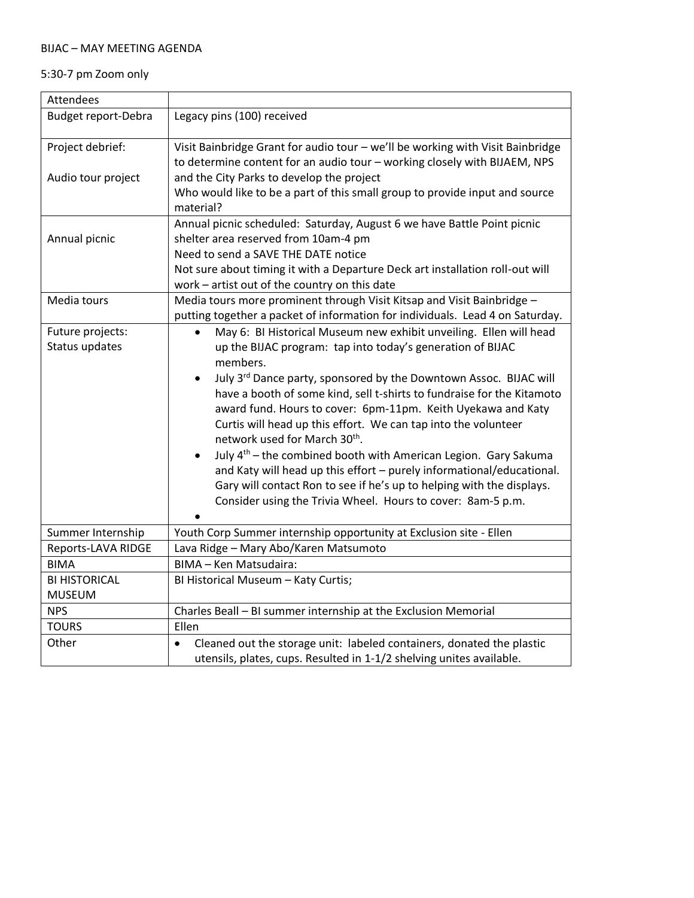## BIJAC – MAY MEETING AGENDA

## 5:30-7 pm Zoom only

| Attendees                  |                                                                                                                                                          |
|----------------------------|----------------------------------------------------------------------------------------------------------------------------------------------------------|
| <b>Budget report-Debra</b> | Legacy pins (100) received                                                                                                                               |
| Project debrief:           | Visit Bainbridge Grant for audio tour - we'll be working with Visit Bainbridge                                                                           |
|                            | to determine content for an audio tour - working closely with BIJAEM, NPS                                                                                |
| Audio tour project         | and the City Parks to develop the project                                                                                                                |
|                            | Who would like to be a part of this small group to provide input and source<br>material?                                                                 |
|                            | Annual picnic scheduled: Saturday, August 6 we have Battle Point picnic                                                                                  |
| Annual picnic              | shelter area reserved from 10am-4 pm                                                                                                                     |
|                            | Need to send a SAVE THE DATE notice                                                                                                                      |
|                            | Not sure about timing it with a Departure Deck art installation roll-out will                                                                            |
|                            | work - artist out of the country on this date                                                                                                            |
| Media tours                | Media tours more prominent through Visit Kitsap and Visit Bainbridge -                                                                                   |
|                            | putting together a packet of information for individuals. Lead 4 on Saturday.                                                                            |
| Future projects:           | May 6: BI Historical Museum new exhibit unveiling. Ellen will head<br>$\bullet$                                                                          |
| Status updates             | up the BIJAC program: tap into today's generation of BIJAC<br>members.                                                                                   |
|                            |                                                                                                                                                          |
|                            | July 3rd Dance party, sponsored by the Downtown Assoc. BIJAC will<br>$\bullet$<br>have a booth of some kind, sell t-shirts to fundraise for the Kitamoto |
|                            | award fund. Hours to cover: 6pm-11pm. Keith Uyekawa and Katy                                                                                             |
|                            | Curtis will head up this effort. We can tap into the volunteer                                                                                           |
|                            | network used for March 30 <sup>th</sup> .                                                                                                                |
|                            | July 4 <sup>th</sup> – the combined booth with American Legion. Gary Sakuma<br>$\bullet$                                                                 |
|                            | and Katy will head up this effort - purely informational/educational.                                                                                    |
|                            | Gary will contact Ron to see if he's up to helping with the displays.                                                                                    |
|                            | Consider using the Trivia Wheel. Hours to cover: 8am-5 p.m.                                                                                              |
|                            |                                                                                                                                                          |
| Summer Internship          | Youth Corp Summer internship opportunity at Exclusion site - Ellen                                                                                       |
| Reports-LAVA RIDGE         | Lava Ridge - Mary Abo/Karen Matsumoto                                                                                                                    |
| <b>BIMA</b>                | BIMA - Ken Matsudaira:                                                                                                                                   |
| <b>BI HISTORICAL</b>       | BI Historical Museum - Katy Curtis;                                                                                                                      |
| <b>MUSEUM</b>              |                                                                                                                                                          |
| <b>NPS</b>                 | Charles Beall - BI summer internship at the Exclusion Memorial                                                                                           |
| <b>TOURS</b>               | Ellen                                                                                                                                                    |
| Other                      | Cleaned out the storage unit: labeled containers, donated the plastic<br>$\bullet$                                                                       |
|                            | utensils, plates, cups. Resulted in 1-1/2 shelving unites available.                                                                                     |